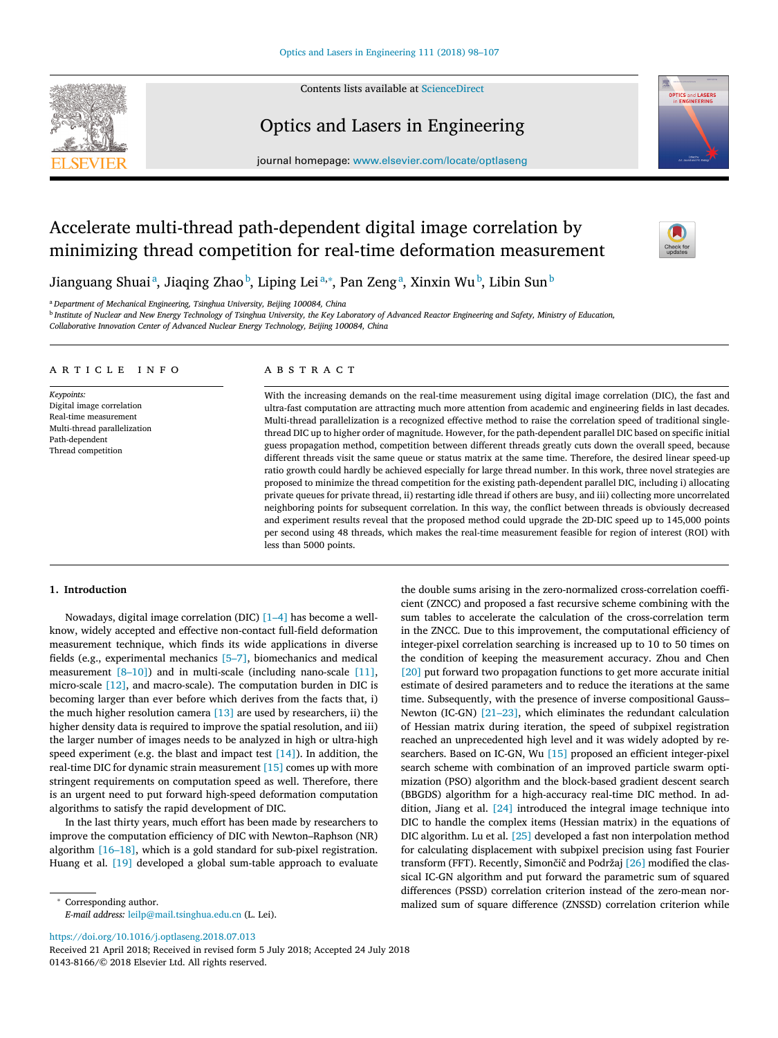Contents lists available at [ScienceDirect](http://www.ScienceDirect.com)



### Optics and Lasers in Engineering



journal homepage: [www.elsevier.com/locate/optlaseng](http://www.elsevier.com/locate/optlaseng)

## Accelerate multi-thread path-dependent digital image correlation by minimizing thread competition for real-time deformation measurement



Jianguang Shuaiª, Jiaqing Zhaoʰ, Liping Leiª,\*, Pan Zengª, Xinxin Wuʰ, Libin Sunʰ

<sup>a</sup> *Department of Mechanical Engineering, Tsinghua University, Beijing 100084, China*

<sup>b</sup> Institute of Nuclear and New Energy Technology of Tsinghua University, the Key Laboratory of Advanced Reactor Engineering and Safety, Ministry of Education,

*Collaborative Innovation Center of Advanced Nuclear Energy Technology, Beijing 100084, China*

#### a r t i c l e i n f o

*Keypoints:* Digital image correlation Real-time measurement Multi-thread parallelization Path-dependent Thread competition

#### a b s t r a c t

With the increasing demands on the real-time measurement using digital image correlation (DIC), the fast and ultra-fast computation are attracting much more attention from academic and engineering fields in last decades. Multi-thread parallelization is a recognized effective method to raise the correlation speed of traditional singlethread DIC up to higher order of magnitude. However, for the path-dependent parallel DIC based on specific initial guess propagation method, competition between different threads greatly cuts down the overall speed, because different threads visit the same queue or status matrix at the same time. Therefore, the desired linear speed-up ratio growth could hardly be achieved especially for large thread number. In this work, three novel strategies are proposed to minimize the thread competition for the existing path-dependent parallel DIC, including i) allocating private queues for private thread, ii) restarting idle thread if others are busy, and iii) collecting more uncorrelated neighboring points for subsequent correlation. In this way, the conflict between threads is obviously decreased and experiment results reveal that the proposed method could upgrade the 2D-DIC speed up to 145,000 points per second using 48 threads, which makes the real-time measurement feasible for region of interest (ROI) with less than 5000 points.

#### **1. Introduction**

Nowadays, digital image correlation (DIC) [\[1–4\]](#page--1-0) has become a wellknow, widely accepted and effective non-contact full-field deformation measurement technique, which finds its wide applications in diverse fields (e.g., experimental mechanics [\[5–7\],](#page--1-0) biomechanics and medical measurement  $[8-10]$  and in multi-scale (including nano-scale [\[11\],](#page--1-0) micro-scale [\[12\],](#page--1-0) and macro-scale). The computation burden in DIC is becoming larger than ever before which derives from the facts that, i) the much higher resolution camera  $[13]$  are used by researchers, ii) the higher density data is required to improve the spatial resolution, and iii) the larger number of images needs to be analyzed in high or ultra-high speed experiment (e.g. the blast and impact test  $[14]$ ). In addition, the real-time DIC for dynamic strain measurement [\[15\]](#page--1-0) comes up with more stringent requirements on computation speed as well. Therefore, there is an urgent need to put forward high-speed deformation computation algorithms to satisfy the rapid development of DIC.

In the last thirty years, much effort has been made by researchers to improve the computation efficiency of DIC with Newton–Raphson (NR) algorithm [\[16–18\],](#page--1-0) which is a gold standard for sub-pixel registration. Huang et al. [\[19\]](#page--1-0) developed a global sum-table approach to evaluate

<https://doi.org/10.1016/j.optlaseng.2018.07.013>

Received 21 April 2018; Received in revised form 5 July 2018; Accepted 24 July 2018 0143-8166/© 2018 Elsevier Ltd. All rights reserved.

the double sums arising in the zero-normalized cross-correlation coefficient (ZNCC) and proposed a fast recursive scheme combining with the sum tables to accelerate the calculation of the cross-correlation term in the ZNCC. Due to this improvement, the computational efficiency of integer-pixel correlation searching is increased up to 10 to 50 times on the condition of keeping the measurement accuracy. Zhou and Chen [\[20\]](#page--1-0) put forward two propagation functions to get more accurate initial estimate of desired parameters and to reduce the iterations at the same time. Subsequently, with the presence of inverse compositional Gauss– Newton (IC-GN) [\[21–23\],](#page--1-0) which eliminates the redundant calculation of Hessian matrix during iteration, the speed of subpixel registration reached an unprecedented high level and it was widely adopted by researchers. Based on IC-GN, Wu [\[15\]](#page--1-0) proposed an efficient integer-pixel search scheme with combination of an improved particle swarm optimization (PSO) algorithm and the block-based gradient descent search (BBGDS) algorithm for a high-accuracy real-time DIC method. In addition, Jiang et al. [\[24\]](#page--1-0) introduced the integral image technique into DIC to handle the complex items (Hessian matrix) in the equations of DIC algorithm. Lu et al. [\[25\]](#page--1-0) developed a fast non interpolation method for calculating displacement with subpixel precision using fast Fourier transform (FFT). Recently, Simončič and Podržaj [\[26\]](#page--1-0) modified the classical IC-GN algorithm and put forward the parametric sum of squared differences (PSSD) correlation criterion instead of the zero-mean normalized sum of square difference (ZNSSD) correlation criterion while

<sup>∗</sup> Corresponding author. *E-mail address:* [leilp@mail.tsinghua.edu.cn](mailto:leilp@mail.tsinghua.edu.cn) (L. Lei).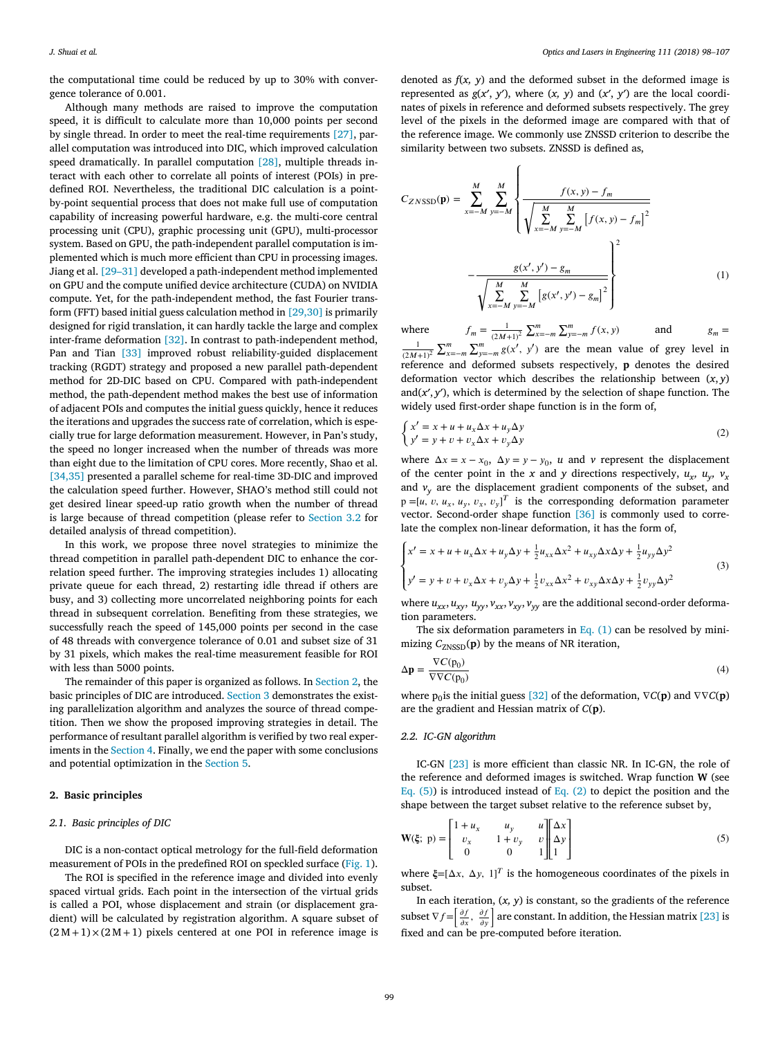the computational time could be reduced by up to 30% with convergence tolerance of 0.001.

Although many methods are raised to improve the computation speed, it is difficult to calculate more than 10,000 points per second by single thread. In order to meet the real-time requirements [\[27\],](#page--1-0) parallel computation was introduced into DIC, which improved calculation speed dramatically. In parallel computation [\[28\],](#page--1-0) multiple threads interact with each other to correlate all points of interest (POIs) in predefined ROI. Nevertheless, the traditional DIC calculation is a pointby-point sequential process that does not make full use of computation capability of increasing powerful hardware, e.g. the multi-core central processing unit (CPU), graphic processing unit (GPU), multi-processor system. Based on GPU, the path-independent parallel computation is implemented which is much more efficient than CPU in processing images. Jiang et al. [\[29–31\]](#page--1-0) developed a path-independent method implemented on GPU and the compute unified device architecture (CUDA) on NVIDIA compute. Yet, for the path-independent method, the fast Fourier transform (FFT) based initial guess calculation method in [\[29,30\]](#page--1-0) is primarily designed for rigid translation, it can hardly tackle the large and complex inter-frame deformation [\[32\].](#page--1-0) In contrast to path-independent method, Pan and Tian [\[33\]](#page--1-0) improved robust reliability-guided displacement tracking (RGDT) strategy and proposed a new parallel path-dependent method for 2D-DIC based on CPU. Compared with path-independent method, the path-dependent method makes the best use of information of adjacent POIs and computes the initial guess quickly, hence it reduces the iterations and upgrades the success rate of correlation, which is especially true for large deformation measurement. However, in Pan's study, the speed no longer increased when the number of threads was more than eight due to the limitation of CPU cores. More recently, Shao et al. [\[34,35\]](#page--1-0) presented a parallel scheme for real-time 3D-DIC and improved the calculation speed further. However, SHAO's method still could not get desired linear speed-up ratio growth when the number of thread is large because of thread competition (please refer to [Section](#page--1-0) 3.2 for detailed analysis of thread competition).

In this work, we propose three novel strategies to minimize the thread competition in parallel path-dependent DIC to enhance the correlation speed further. The improving strategies includes 1) allocating private queue for each thread, 2) restarting idle thread if others are busy, and 3) collecting more uncorrelated neighboring points for each thread in subsequent correlation. Benefiting from these strategies, we successfully reach the speed of 145,000 points per second in the case of 48 threads with convergence tolerance of 0.01 and subset size of 31 by 31 pixels, which makes the real-time measurement feasible for ROI with less than 5000 points.

The remainder of this paper is organized as follows. In Section 2, the basic principles of DIC are introduced. [Section](#page--1-0) 3 demonstrates the existing parallelization algorithm and analyzes the source of thread competition. Then we show the proposed improving strategies in detail. The performance of resultant parallel algorithm is verified by two real experiments in the [Section](#page--1-0) 4. Finally, we end the paper with some conclusions and potential optimization in the [Section](#page--1-0) 5.

#### **2. Basic principles**

#### *2.1. Basic principles of DIC*

DIC is a non-contact optical metrology for the full-field deformation measurement of POIs in the predefined ROI on speckled surface [\(Fig.](#page--1-0) 1).

The ROI is specified in the reference image and divided into evenly spaced virtual grids. Each point in the intersection of the virtual grids is called a POI, whose displacement and strain (or displacement gradient) will be calculated by registration algorithm. A square subset of  $(2M+1) \times (2M+1)$  pixels centered at one POI in reference image is

denoted as  $f(x, y)$  and the deformed subset in the deformed image is represented as  $g(x', y')$ , where  $(x, y)$  and  $(x', y')$  are the local coordinates of pixels in reference and deformed subsets respectively. The grey level of the pixels in the deformed image are compared with that of the reference image. We commonly use ZNSSD criterion to describe the similarity between two subsets. ZNSSD is defined as,

$$
C_{ZNSSD}(\mathbf{p}) = \sum_{x=-M}^{M} \sum_{y=-M}^{M} \left\{ \frac{f(x, y) - f_m}{\sqrt{\sum_{x=-M}^{M} \sum_{y=-M}^{M} \left[ f(x, y) - f_m \right]^2}} - \frac{g(x', y') - g_m}{\sqrt{\sum_{x=-M}^{M} \sum_{y=-M}^{M} \left[ g(x', y') - g_m \right]^2}} \right\}^2
$$
(1)

where  $f_m = \frac{1}{(2M+1)^2}$ where  $f_m = \frac{1}{(2M+1)^2} \sum_{x=-m}^{m} \sum_{y=-m}^{m} f(x, y)$  and  $g_m = \frac{1}{(2M+1)^2} \sum_{x=-m}^{m} \sum_{y=-m}^{m} g(x', y')$  are the mean value of grey level in  $\sum_{x=-m}^{m} \sum_{y=-m}^{m} g(x', y')$  are the mean value of grey level in

reference and deformed subsets respectively, **p** denotes the desired deformation vector which describes the relationship between (*x*, *y*) and $(x', y')$ , which is determined by the selection of shape function. The widely used first-order shape function is in the form of,

$$
\begin{cases}\nx' = x + u + u_x \Delta x + u_y \Delta y \\
y' = y + v + v_x \Delta x + v_y \Delta y\n\end{cases}
$$
\n(2)

where  $\Delta x = x - x_0$ ,  $\Delta y = y - y_0$ , *u* and *v* represent the displacement of the center point in the *x* and *y* directions respectively,  $u_x$ ,  $u_y$ ,  $v_x$ and  $v_y$  are the displacement gradient components of the subset, and  $p = [u, v, u_x, u_y, v_x, v_y]^T$  is the corresponding deformation parameter vector. Second-order shape function [\[36\]](#page--1-0) is commonly used to correlate the complex non-linear deformation, it has the form of,

$$
\begin{cases} x' = x + u + u_x \Delta x + u_y \Delta y + \frac{1}{2} u_{xx} \Delta x^2 + u_{xy} \Delta x \Delta y + \frac{1}{2} u_{yy} \Delta y^2 \\ y' = y + v + v_x \Delta x + v_y \Delta y + \frac{1}{2} v_{xx} \Delta x^2 + v_{xy} \Delta x \Delta y + \frac{1}{2} v_{yy} \Delta y^2 \end{cases}
$$
(3)

where  $u_{xx}$ ,  $u_{xy}$ ,  $u_{yy}$ ,  $v_{xx}$ ,  $v_{xy}$ ,  $v_{yy}$  are the additional second-order deformation parameters.

The six deformation parameters in Eq.  $(1)$  can be resolved by minimizing  $C_{ZNSSD}(\mathbf{p})$  by the means of NR iteration,

$$
\Delta \mathbf{p} = \frac{\nabla C(\mathbf{p}_0)}{\nabla \nabla C(\mathbf{p}_0)}
$$
(4)

where  $p_0$  is the initial guess [\[32\]](#page--1-0) of the deformation,  $\nabla C(\mathbf{p})$  and  $\nabla \nabla C(\mathbf{p})$ are the gradient and Hessian matrix of *C*(**p**).

#### *2.2. IC-GN algorithm*

IC-GN [\[23\]](#page--1-0) is more efficient than classic NR. In IC-GN, the role of the reference and deformed images is switched. Wrap function **W** (see Eq. (5)) is introduced instead of Eq. (2) to depict the position and the shape between the target subset relative to the reference subset by,

$$
\mathbf{W}(\xi; \mathbf{p}) = \begin{bmatrix} 1 + u_x & u_y & u \\ v_x & 1 + v_y & v \\ 0 & 0 & 1 \end{bmatrix} \begin{bmatrix} \Delta x \\ \Delta y \\ 1 \end{bmatrix}
$$
(5)

where  $\xi = [\Delta x, \Delta y, 1]^T$  is the homogeneous coordinates of the pixels in subset.

In each iteration, (*x, y*) is constant, so the gradients of the reference [ In each iteration, (*x*, *y*) is constant, so the gradients of the reference<br>subset  $\nabla f = \left[\frac{\partial f}{\partial x}, \frac{\partial f}{\partial y}\right]$  are constant. In addition, the Hessian matrix [\[23\]](#page--1-0) is fixed and can be pre-computed before iteration.